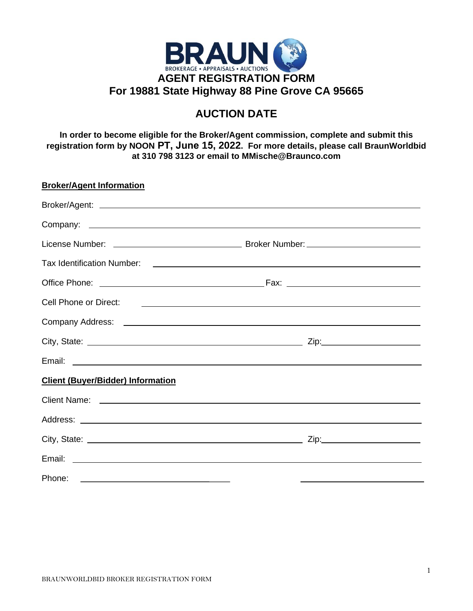

## **AUCTION DATE**

**In order to become eligible for the Broker/Agent commission, complete and submit this registration form by NOON PT, June 15, 2022. For more details, please call BraunWorldbid at 310 798 3123 or email to MMische@Braunco.com** 

| <b>Broker/Agent Information</b>          |  |
|------------------------------------------|--|
|                                          |  |
|                                          |  |
|                                          |  |
|                                          |  |
|                                          |  |
|                                          |  |
|                                          |  |
|                                          |  |
|                                          |  |
| <b>Client (Buyer/Bidder) Information</b> |  |
|                                          |  |
|                                          |  |
|                                          |  |
|                                          |  |
|                                          |  |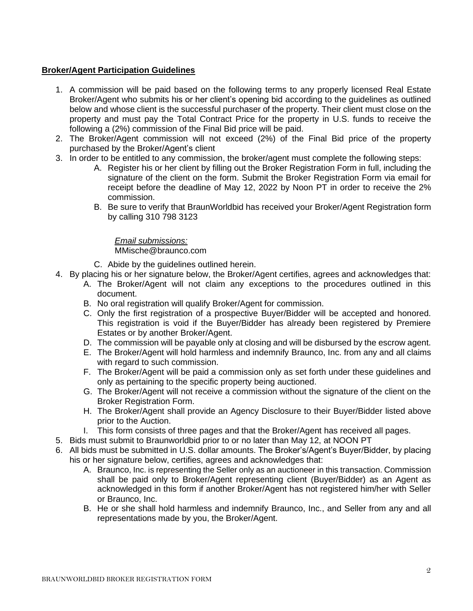## **Broker/Agent Participation Guidelines**

- 1. A commission will be paid based on the following terms to any properly licensed Real Estate Broker/Agent who submits his or her client's opening bid according to the guidelines as outlined below and whose client is the successful purchaser of the property. Their client must close on the property and must pay the Total Contract Price for the property in U.S. funds to receive the following a (2%) commission of the Final Bid price will be paid.
- 2. The Broker/Agent commission will not exceed (2%) of the Final Bid price of the property purchased by the Broker/Agent's client
- 3. In order to be entitled to any commission, the broker/agent must complete the following steps:
	- A. Register his or her client by filling out the Broker Registration Form in full, including the signature of the client on the form. Submit the Broker Registration Form via email for receipt before the deadline of May 12, 2022 by Noon PT in order to receive the 2% commission.
	- B. Be sure to verify that BraunWorldbid has received your Broker/Agent Registration form by calling 310 798 3123

## *Email submissions:*

MMische@braunco.com

- C. Abide by the guidelines outlined herein.
- 4. By placing his or her signature below, the Broker/Agent certifies, agrees and acknowledges that:
	- A. The Broker/Agent will not claim any exceptions to the procedures outlined in this document.
	- B. No oral registration will qualify Broker/Agent for commission.
	- C. Only the first registration of a prospective Buyer/Bidder will be accepted and honored. This registration is void if the Buyer/Bidder has already been registered by Premiere Estates or by another Broker/Agent.
	- D. The commission will be payable only at closing and will be disbursed by the escrow agent.
	- E. The Broker/Agent will hold harmless and indemnify Braunco, Inc. from any and all claims with regard to such commission.
	- F. The Broker/Agent will be paid a commission only as set forth under these guidelines and only as pertaining to the specific property being auctioned.
	- G. The Broker/Agent will not receive a commission without the signature of the client on the Broker Registration Form.
	- H. The Broker/Agent shall provide an Agency Disclosure to their Buyer/Bidder listed above prior to the Auction.
	- I. This form consists of three pages and that the Broker/Agent has received all pages.
- 5. Bids must submit to Braunworldbid prior to or no later than May 12, at NOON PT
- 6. All bids must be submitted in U.S. dollar amounts. The Broker's/Agent's Buyer/Bidder, by placing his or her signature below, certifies, agrees and acknowledges that:
	- A. Braunco, Inc. is representing the Seller only as an auctioneer in this transaction. Commission shall be paid only to Broker/Agent representing client (Buyer/Bidder) as an Agent as acknowledged in this form if another Broker/Agent has not registered him/her with Seller or Braunco, Inc.
	- B. He or she shall hold harmless and indemnify Braunco, Inc., and Seller from any and all representations made by you, the Broker/Agent.